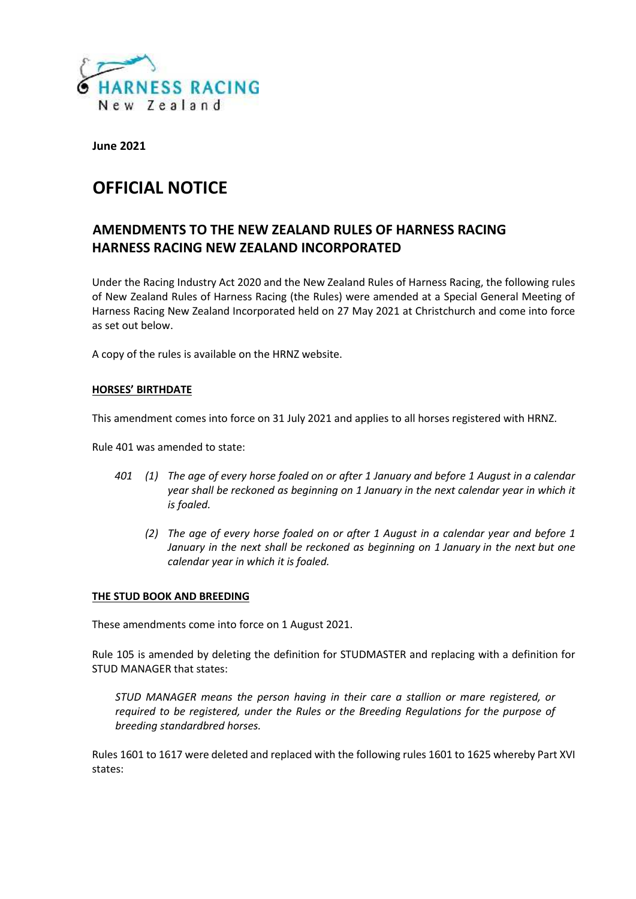

**June 2021**

# **OFFICIAL NOTICE**

# **AMENDMENTS TO THE NEW ZEALAND RULES OF HARNESS RACING HARNESS RACING NEW ZEALAND INCORPORATED**

Under the Racing Industry Act 2020 and the New Zealand Rules of Harness Racing, the following rules of New Zealand Rules of Harness Racing (the Rules) were amended at a Special General Meeting of Harness Racing New Zealand Incorporated held on 27 May 2021 at Christchurch and come into force as set out below.

A copy of the rules is available on the HRNZ website.

# **HORSES' BIRTHDATE**

This amendment comes into force on 31 July 2021 and applies to all horses registered with HRNZ.

Rule 401 was amended to state:

- *401 (1) The age of every horse foaled on or after 1 January and before 1 August in a calendar year shall be reckoned as beginning on 1 January in the next calendar year in which it is foaled.*
	- *(2) The age of every horse foaled on or after 1 August in a calendar year and before 1 January in the next shall be reckoned as beginning on 1 January in the next but one calendar year in which it is foaled.*

#### **THE STUD BOOK AND BREEDING**

These amendments come into force on 1 August 2021.

Rule 105 is amended by deleting the definition for STUDMASTER and replacing with a definition for STUD MANAGER that states:

*STUD MANAGER means the person having in their care a stallion or mare registered, or required to be registered, under the Rules or the Breeding Regulations for the purpose of breeding standardbred horses.*

Rules 1601 to 1617 were deleted and replaced with the following rules 1601 to 1625 whereby Part XVI states: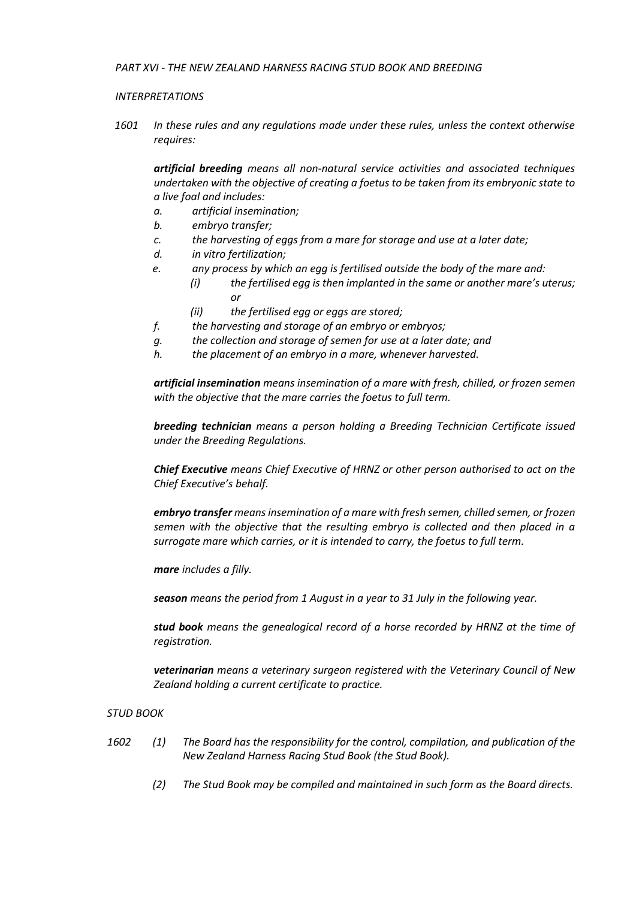#### *INTERPRETATIONS*

*1601 In these rules and any regulations made under these rules, unless the context otherwise requires:*

*artificial breeding means all non-natural service activities and associated techniques undertaken with the objective of creating a foetus to be taken from its embryonic state to a live foal and includes:*

- *a. artificial insemination;*
- *b. embryo transfer;*
- *c. the harvesting of eggs from a mare for storage and use at a later date;*
- *d. in vitro fertilization;*
- *e. any process by which an egg is fertilised outside the body of the mare and:*
	- *(i) the fertilised egg is then implanted in the same or another mare's uterus; or*
		- *(ii) the fertilised egg or eggs are stored;*
- *f. the harvesting and storage of an embryo or embryos;*
- *g. the collection and storage of semen for use at a later date; and*
- *h. the placement of an embryo in a mare, whenever harvested.*

*artificial insemination means insemination of a mare with fresh, chilled, or frozen semen with the objective that the mare carries the foetus to full term.*

*breeding technician means a person holding a Breeding Technician Certificate issued under the Breeding Regulations.*

*Chief Executive means Chief Executive of HRNZ or other person authorised to act on the Chief Executive's behalf.*

*embryo transfer means insemination of a mare with fresh semen, chilled semen, or frozen semen with the objective that the resulting embryo is collected and then placed in a surrogate mare which carries, or it is intended to carry, the foetus to full term.*

*mare includes a filly.*

*season means the period from 1 August in a year to 31 July in the following year.*

*stud book means the genealogical record of a horse recorded by HRNZ at the time of registration.*

*veterinarian means a veterinary surgeon registered with the Veterinary Council of New Zealand holding a current certificate to practice.*

#### *STUD BOOK*

- *1602 (1) The Board has the responsibility for the control, compilation, and publication of the New Zealand Harness Racing Stud Book (the Stud Book).*
	- *(2) The Stud Book may be compiled and maintained in such form as the Board directs.*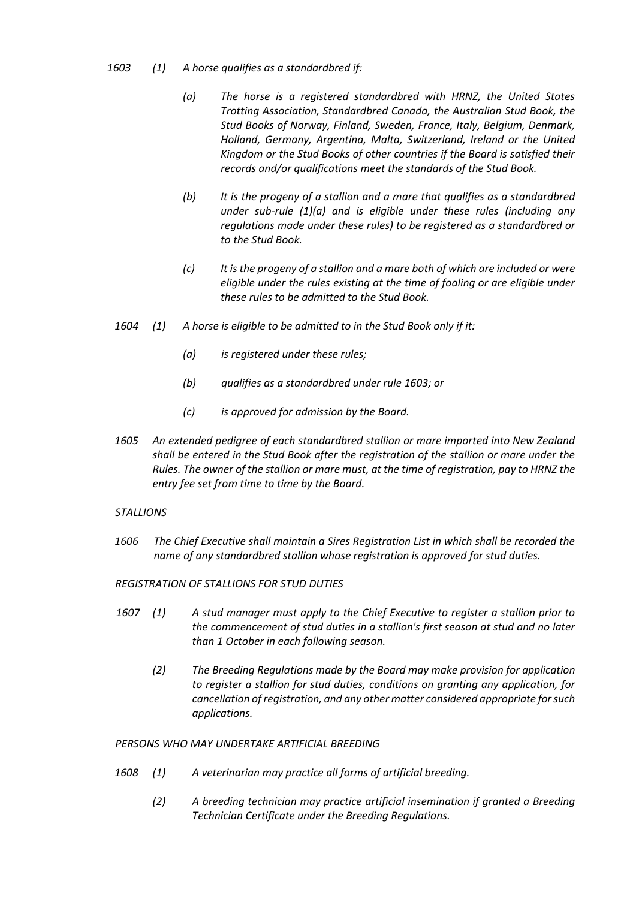# *1603 (1) A horse qualifies as a standardbred if:*

- *(a) The horse is a registered standardbred with HRNZ, the United States Trotting Association, Standardbred Canada, the Australian Stud Book, the Stud Books of Norway, Finland, Sweden, France, Italy, Belgium, Denmark, Holland, Germany, Argentina, Malta, Switzerland, Ireland or the United Kingdom or the Stud Books of other countries if the Board is satisfied their records and/or qualifications meet the standards of the Stud Book.*
- *(b) It is the progeny of a stallion and a mare that qualifies as a standardbred under sub-rule (1)(a) and is eligible under these rules (including any regulations made under these rules) to be registered as a standardbred or to the Stud Book.*
- *(c) It is the progeny of a stallion and a mare both of which are included or were eligible under the rules existing at the time of foaling or are eligible under these rules to be admitted to the Stud Book.*
- *1604 (1) A horse is eligible to be admitted to in the Stud Book only if it:*
	- *(a) is registered under these rules;*
	- *(b) qualifies as a standardbred under rule 1603; or*
	- *(c) is approved for admission by the Board.*
- *1605 An extended pedigree of each standardbred stallion or mare imported into New Zealand shall be entered in the Stud Book after the registration of the stallion or mare under the Rules. The owner of the stallion or mare must, at the time of registration, pay to HRNZ the entry fee set from time to time by the Board.*

# *STALLIONS*

*1606 The Chief Executive shall maintain a Sires Registration List in which shall be recorded the name of any standardbred stallion whose registration is approved for stud duties.*

# *REGISTRATION OF STALLIONS FOR STUD DUTIES*

- *1607 (1) A stud manager must apply to the Chief Executive to register a stallion prior to the commencement of stud duties in a stallion's first season at stud and no later than 1 October in each following season.*
	- *(2) The Breeding Regulations made by the Board may make provision for application to register a stallion for stud duties, conditions on granting any application, for cancellation of registration, and any other matter considered appropriate for such applications.*

# *PERSONS WHO MAY UNDERTAKE ARTIFICIAL BREEDING*

- *1608 (1) A veterinarian may practice all forms of artificial breeding.*
	- *(2) A breeding technician may practice artificial insemination if granted a Breeding Technician Certificate under the Breeding Regulations.*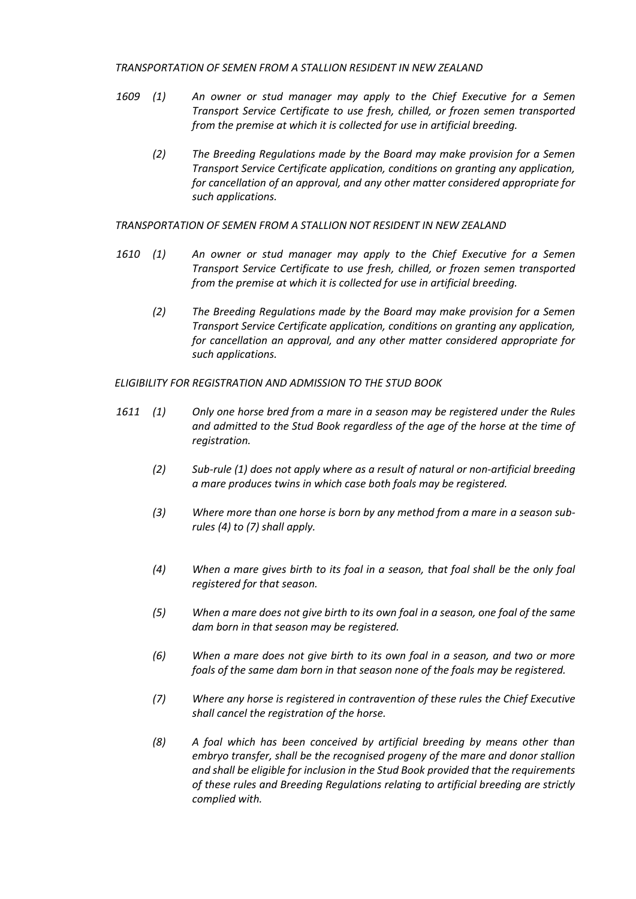#### *TRANSPORTATION OF SEMEN FROM A STALLION RESIDENT IN NEW ZEALAND*

- *1609 (1) An owner or stud manager may apply to the Chief Executive for a Semen Transport Service Certificate to use fresh, chilled, or frozen semen transported from the premise at which it is collected for use in artificial breeding.*
	- *(2) The Breeding Regulations made by the Board may make provision for a Semen Transport Service Certificate application, conditions on granting any application, for cancellation of an approval, and any other matter considered appropriate for such applications.*

*TRANSPORTATION OF SEMEN FROM A STALLION NOT RESIDENT IN NEW ZEALAND*

- *1610 (1) An owner or stud manager may apply to the Chief Executive for a Semen Transport Service Certificate to use fresh, chilled, or frozen semen transported from the premise at which it is collected for use in artificial breeding.*
	- *(2) The Breeding Regulations made by the Board may make provision for a Semen Transport Service Certificate application, conditions on granting any application, for cancellation an approval, and any other matter considered appropriate for such applications.*

*ELIGIBILITY FOR REGISTRATION AND ADMISSION TO THE STUD BOOK*

- *1611 (1) Only one horse bred from a mare in a season may be registered under the Rules and admitted to the Stud Book regardless of the age of the horse at the time of registration.*
	- *(2) Sub-rule (1) does not apply where as a result of natural or non-artificial breeding a mare produces twins in which case both foals may be registered.*
	- *(3) Where more than one horse is born by any method from a mare in a season sub rules (4) to (7) shall apply.*
	- *(4) When a mare gives birth to its foal in a season, that foal shall be the only foal registered for that season.*
	- *(5) When a mare does not give birth to its own foal in a season, one foal of the same dam born in that season may be registered.*
	- *(6) When a mare does not give birth to its own foal in a season, and two or more foals of the same dam born in that season none of the foals may be registered.*
	- *(7) Where any horse is registered in contravention of these rules the Chief Executive shall cancel the registration of the horse.*
	- *(8) A foal which has been conceived by artificial breeding by means other than embryo transfer, shall be the recognised progeny of the mare and donor stallion and shall be eligible for inclusion in the Stud Book provided that the requirements of these rules and Breeding Regulations relating to artificial breeding are strictly complied with.*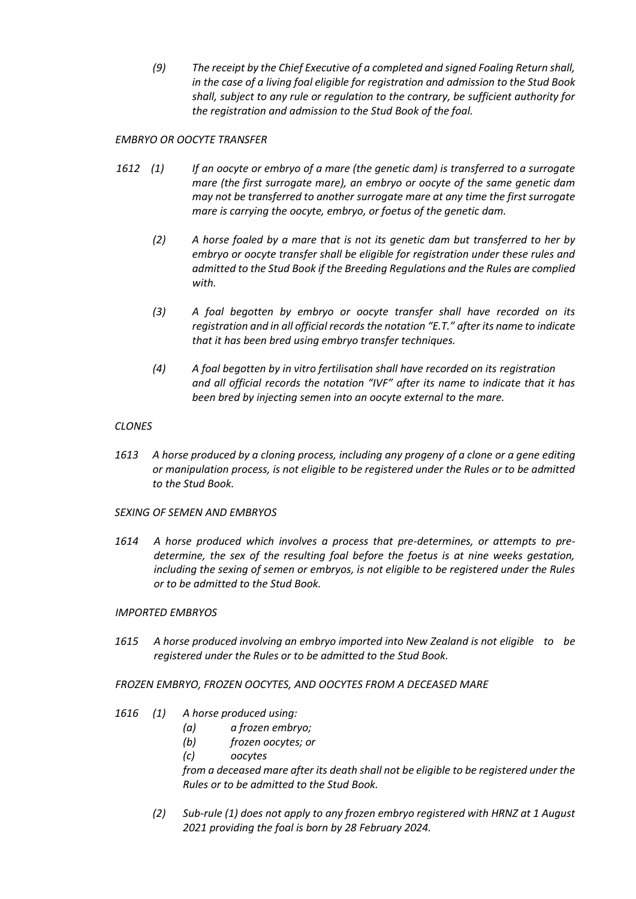*(9) The receipt by the Chief Executive of a completed and signed Foaling Return shall, in the case of a living foal eligible for registration and admission to the Stud Book shall, subject to any rule or regulation to the contrary, be sufficient authority for the registration and admission to the Stud Book of the foal.*

# *EMBRYO OR OOCYTE TRANSFER*

- *1612 (1) If an oocyte or embryo of a mare (the genetic dam) is transferred to a surrogate mare (the first surrogate mare), an embryo or oocyte of the same genetic dam may not be transferred to another surrogate mare at any time the first surrogate mare is carrying the oocyte, embryo, or foetus of the genetic dam.*
	- *(2) A horse foaled by a mare that is not its genetic dam but transferred to her by embryo or oocyte transfer shall be eligible for registration under these rules and admitted to the Stud Book if the Breeding Regulations and the Rules are complied with.*
	- *(3) A foal begotten by embryo or oocyte transfer shall have recorded on its registration and in all official records the notation "E.T." after its name to indicate that it has been bred using embryo transfer techniques.*
	- *(4) A foal begotten by in vitro fertilisation shall have recorded on its registration and all official records the notation "IVF" after its name to indicate that it has been bred by injecting semen into an oocyte external to the mare.*

# *CLONES*

- *1613 A horse produced by a cloning process, including any progeny of a clone or a gene editing or manipulation process, is not eligible to be registered under the Rules or to be admitted to the Stud Book.*
- *SEXING OF SEMEN AND EMBRYOS*
- *1614 A horse produced which involves a process that pre-determines, or attempts to pre determine, the sex of the resulting foal before the foetus is at nine weeks gestation, including the sexing of semen or embryos, is not eligible to be registered under the Rules or to be admitted to the Stud Book.*

# *IMPORTED EMBRYOS*

*1615 A horse produced involving an embryo imported into New Zealand is not eligible to be registered under the Rules or to be admitted to the Stud Book.*

#### *FROZEN EMBRYO, FROZEN OOCYTES, AND OOCYTES FROM A DECEASED MARE*

- *1616 (1) A horse produced using:*
	- *(a) a frozen embryo;*
	- *(b) frozen oocytes; or*
	- *(c) oocytes*

*from a deceased mare after its death shall not be eligible to be registered under the Rules or to be admitted to the Stud Book.*

*(2) Sub-rule (1) does not apply to any frozen embryo registered with HRNZ at 1 August 2021 providing the foal is born by 28 February 2024.*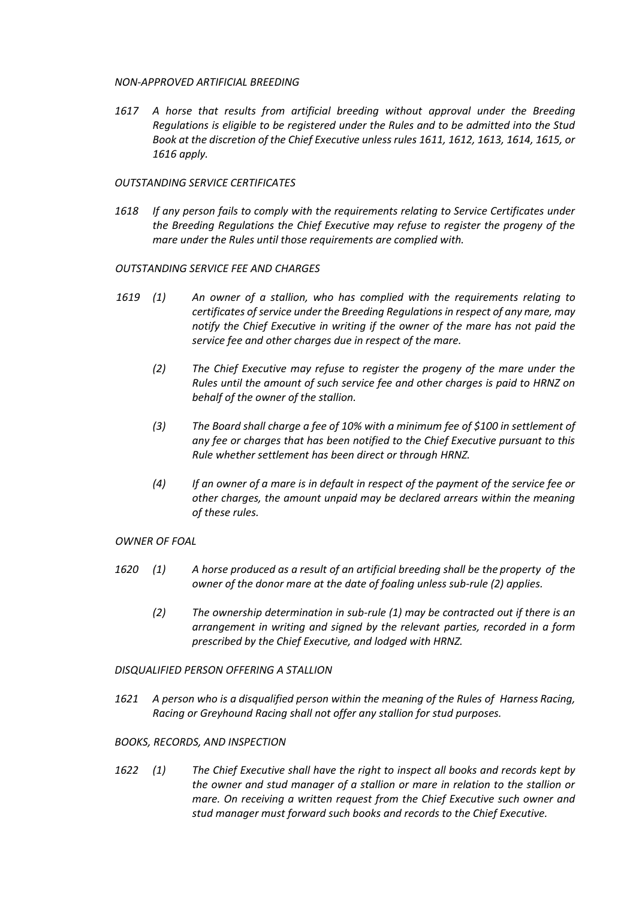#### *NON-APPROVED ARTIFICIAL BREEDING*

*1617 A horse that results from artificial breeding without approval under the Breeding Regulations is eligible to be registered under the Rules and to be admitted into the Stud Book at the discretion of the Chief Executive unless rules 1611, 1612, 1613, 1614, 1615, or 1616 apply.*

#### *OUTSTANDING SERVICE CERTIFICATES*

*1618 If any person fails to comply with the requirements relating to Service Certificates under the Breeding Regulations the Chief Executive may refuse to register the progeny of the mare under the Rules until those requirements are complied with.*

#### *OUTSTANDING SERVICE FEE AND CHARGES*

- *1619 (1) An owner of a stallion, who has complied with the requirements relating to certificates of service under the Breeding Regulations in respect of any mare, may notify the Chief Executive in writing if the owner of the mare has not paid the service fee and other charges due in respect of the mare.*
	- *(2) The Chief Executive may refuse to register the progeny of the mare under the Rules until the amount of such service fee and other charges is paid to HRNZ on behalf of the owner of the stallion.*
	- *(3) The Board shall charge a fee of 10% with a minimum fee of \$100 in settlement of any fee or charges that has been notified to the Chief Executive pursuant to this Rule whether settlement has been direct or through HRNZ.*
	- *(4) If an owner of a mare is in default in respect of the payment of the service fee or other charges, the amount unpaid may be declared arrears within the meaning of these rules.*

# *OWNER OF FOAL*

- *1620 (1) A horse produced as a result of an artificial breeding shall be the property of the owner of the donor mare at the date of foaling unless sub-rule (2) applies.*
	- *(2) The ownership determination in sub-rule (1) may be contracted out if there is an arrangement in writing and signed by the relevant parties, recorded in a form prescribed by the Chief Executive, and lodged with HRNZ.*

#### *DISQUALIFIED PERSON OFFERING A STALLION*

*1621 A person who is a disqualified person within the meaning of the Rules of Harness Racing, Racing or Greyhound Racing shall not offer any stallion for stud purposes.*

#### *BOOKS, RECORDS, AND INSPECTION*

*1622 (1) The Chief Executive shall have the right to inspect all books and records kept by the owner and stud manager of a stallion or mare in relation to the stallion or mare. On receiving a written request from the Chief Executive such owner and stud manager must forward such books and records to the Chief Executive.*